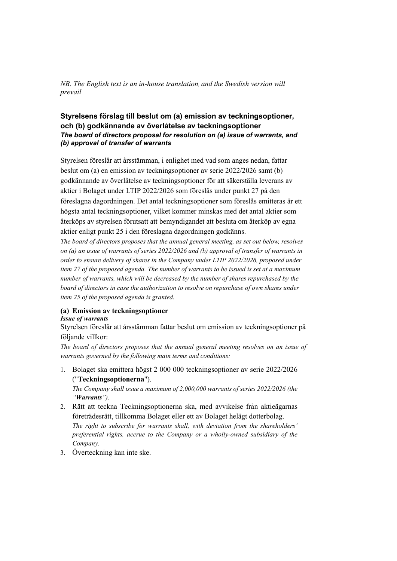*NB. The English text is an in-house translation, and the Swedish version will prevail*

## **Styrelsens förslag till beslut om (a) emission av teckningsoptioner, och (b) godkännande av överlåtelse av teckningsoptioner**  *The board of directors proposal for resolution on (a) issue of warrants, and (b) approval of transfer of warrants*

Styrelsen föreslår att årsstämman, i enlighet med vad som anges nedan, fattar beslut om (a) en emission av teckningsoptioner av serie 2022/2026 samt (b) godkännande av överlåtelse av teckningsoptioner för att säkerställa leverans av aktier i Bolaget under LTIP 2022/2026 som föreslås under punkt 27 på den föreslagna dagordningen. Det antal teckningsoptioner som föreslås emitteras är ett högsta antal teckningsoptioner, vilket kommer minskas med det antal aktier som återköps av styrelsen förutsatt att bemyndigandet att besluta om återköp av egna aktier enligt punkt 25 i den föreslagna dagordningen godkänns.

*The board of directors proposes that the annual general meeting, as set out below, resolves on (a) an issue of warrants of series 2022/2026 and (b) approval of transfer of warrants in order to ensure delivery of shares in the Company under LTIP 2022/2026, proposed under item 27 of the proposed agenda. The number of warrants to be issued is set at a maximum number of warrants, which will be decreased by the number of shares repurchased by the board of directors in case the authorization to resolve on repurchase of own shares under item 25 of the proposed agenda is granted.*

#### **(a) Emission av teckningsoptioner** *Issue of warrants*

Styrelsen föreslår att årsstämman fattar beslut om emission av teckningsoptioner på följande villkor:

*The board of directors proposes that the annual general meeting resolves on an issue of warrants governed by the following main terms and conditions:*

1. Bolaget ska emittera högst 2 000 000 teckningsoptioner av serie 2022/2026 ("**Teckningsoptionerna**").

*The Company shall issue a maximum of 2,000,000 warrants of series 2022/2026 (the "Warrants").*

- 2. Rätt att teckna Teckningsoptionerna ska, med avvikelse från aktieägarnas företrädesrätt, tillkomma Bolaget eller ett av Bolaget helägt dotterbolag. *The right to subscribe for warrants shall, with deviation from the shareholders' preferential rights, accrue to the Company or a wholly-owned subsidiary of the Company.*
- 3. Överteckning kan inte ske.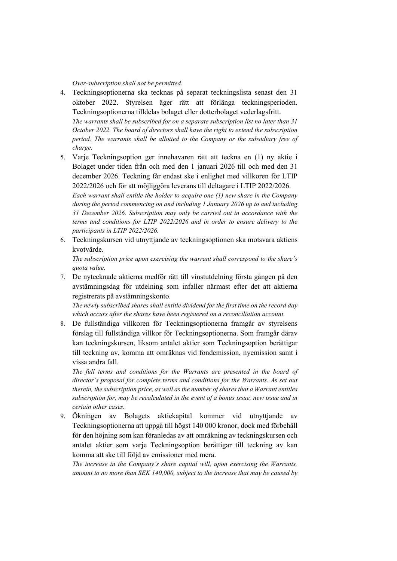### *Over-subscription shall not be permitted.*

*participants in LTIP 2022/2026.*

- 4. Teckningsoptionerna ska tecknas på separat teckningslista senast den 31 oktober 2022. Styrelsen äger rätt att förlänga teckningsperioden. Teckningsoptionerna tilldelas bolaget eller dotterbolaget vederlagsfritt. *The warrants shall be subscribed for on a separate subscription list no later than 31 October 2022. The board of directors shall have the right to extend the subscription period. The warrants shall be allotted to the Company or the subsidiary free of charge.*
- 5. Varje Teckningsoption ger innehavaren rätt att teckna en (1) ny aktie i Bolaget under tiden från och med den 1 januari 2026 till och med den 31 december 2026. Teckning får endast ske i enlighet med villkoren för LTIP 2022/2026 och för att möjliggöra leverans till deltagare i LTIP 2022/2026. *Each warrant shall entitle the holder to acquire one (1) new share in the Company during the period commencing on and including 1 January 2026 up to and including 31 December 2026. Subscription may only be carried out in accordance with the terms and conditions for LTIP 2022/2026 and in order to ensure delivery to the*
- 6. Teckningskursen vid utnyttjande av teckningsoptionen ska motsvara aktiens kvotvärde.

*The subscription price upon exercising the warrant shall correspond to the share's quota value.*

7. De nytecknade aktierna medför rätt till vinstutdelning första gången på den avstämningsdag för utdelning som infaller närmast efter det att aktierna registrerats på avstämningskonto.

*The newly subscribed shares shall entitle dividend for the first time on the record day which occurs after the shares have been registered on a reconciliation account.*

8. De fullständiga villkoren för Teckningsoptionerna framgår av styrelsens förslag till fullständiga villkor för Teckningsoptionerna. Som framgår därav kan teckningskursen, liksom antalet aktier som Teckningsoption berättigar till teckning av, komma att omräknas vid fondemission, nyemission samt i vissa andra fall.

*The full terms and conditions for the Warrants are presented in the board of director's proposal for complete terms and conditions for the Warrants. As set out therein, the subscription price, as well as the number of shares that a Warrant entitles subscription for, may be recalculated in the event of a bonus issue, new issue and in certain other cases.*

9. Ökningen av Bolagets aktiekapital kommer vid utnyttjande av Teckningsoptionerna att uppgå till högst 140 000 kronor, dock med förbehåll för den höjning som kan föranledas av att omräkning av teckningskursen och antalet aktier som varje Teckningsoption berättigar till teckning av kan komma att ske till följd av emissioner med mera.

*The increase in the Company's share capital will, upon exercising the Warrants, amount to no more than SEK 140,000, subject to the increase that may be caused by*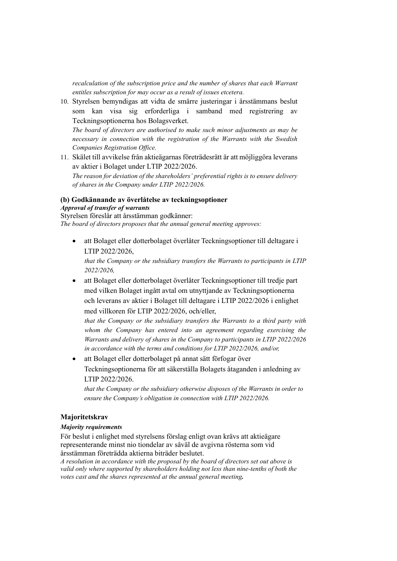*recalculation of the subscription price and the number of shares that each Warrant entitles subscription for may occur as a result of issues etcetera.*

10. Styrelsen bemyndigas att vidta de smärre justeringar i årsstämmans beslut som kan visa sig erforderliga i samband med registrering av Teckningsoptionerna hos Bolagsverket.

*The board of directors are authorised to make such minor adjustments as may be necessary in connection with the registration of the Warrants with the Swedish Companies Registration Office.*

11. Skälet till avvikelse från aktieägarnas företrädesrätt är att möjliggöra leverans av aktier i Bolaget under LTIP 2022/2026. *The reason for deviation of the shareholders' preferential rights is to ensure delivery of shares in the Company under LTIP 2022/2026.* 

# **(b) Godkännande av överlåtelse av teckningsoptioner**

*Approval of transfer of warrants*

Styrelsen föreslår att årsstämman godkänner: *The board of directors proposes that the annual general meeting approves:*

• att Bolaget eller dotterbolaget överlåter Teckningsoptioner till deltagare i LTIP 2022/2026,

*that the Company or the subsidiary transfers the Warrants to participants in LTIP 2022/2026,* 

• att Bolaget eller dotterbolaget överlåter Teckningsoptioner till tredje part med vilken Bolaget ingått avtal om utnyttjande av Teckningsoptionerna och leverans av aktier i Bolaget till deltagare i LTIP 2022/2026 i enlighet med villkoren för LTIP 2022/2026, och/eller,

*that the Company or the subsidiary transfers the Warrants to a third party with whom the Company has entered into an agreement regarding exercising the Warrants and delivery of shares in the Company to participants in LTIP 2022/2026 in accordance with the terms and conditions for LTIP 2022/2026, and/or,*

• att Bolaget eller dotterbolaget på annat sätt förfogar över Teckningsoptionerna för att säkerställa Bolagets åtaganden i anledning av LTIP 2022/2026.

*that the Company or the subsidiary otherwise disposes of the Warrants in order to ensure the Company's obligation in connection with LTIP 2022/2026.*

### **Majoritetskrav**

### *Majority requirements*

För beslut i enlighet med styrelsens förslag enligt ovan krävs att aktieägare representerande minst nio tiondelar av såväl de avgivna rösterna som vid årsstämman företrädda aktierna biträder beslutet.

*A resolution in accordance with the proposal by the board of directors set out above is valid only where supported by shareholders holding not less than nine-tenths of both the votes cast and the shares represented at the annual general meeting.*